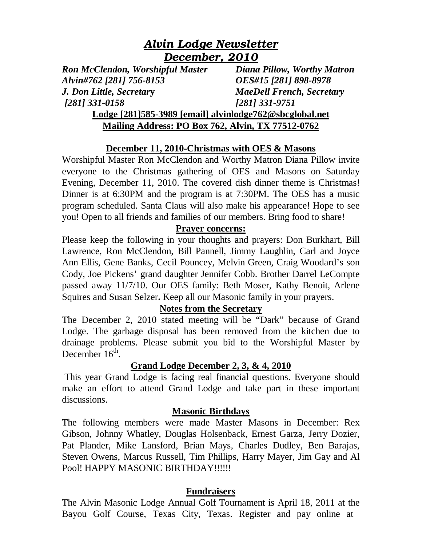# *Alvin Lodge Newsletter December, 2010*

*Ron McClendon, Worshipful Master Diana Pillow, Worthy Matron Alvin#762 [281] 756-8153 OES#15 [281] 898-8978 J. Don Little, Secretar***y** *MaeDell French, Secretary [281] 331-0158 [281] 331-9751* 

## **Lodge [281]585-3989 [email] alvinlodge762@sbcglobal.net Mailing Address: PO Box 762, Alvin, TX 77512-0762**

## **December 11, 2010-Christmas with OES & Masons**

Worshipful Master Ron McClendon and Worthy Matron Diana Pillow invite everyone to the Christmas gathering of OES and Masons on Saturday Evening, December 11, 2010. The covered dish dinner theme is Christmas! Dinner is at 6:30PM and the program is at 7:30PM. The OES has a music program scheduled. Santa Claus will also make his appearance! Hope to see you! Open to all friends and families of our members. Bring food to share!

## **Prayer concerns:**

Please keep the following in your thoughts and prayers: Don Burkhart, Bill Lawrence, Ron McClendon, Bill Pannell, Jimmy Laughlin, Carl and Joyce Ann Ellis, Gene Banks, Cecil Pouncey, Melvin Green, Craig Woodard's son Cody, Joe Pickens' grand daughter Jennifer Cobb. Brother Darrel LeCompte passed away 11/7/10. Our OES family: Beth Moser, Kathy Benoit, Arlene Squires and Susan Selzer**.** Keep all our Masonic family in your prayers.

## **Notes from the Secretary**

The December 2, 2010 stated meeting will be "Dark" because of Grand Lodge. The garbage disposal has been removed from the kitchen due to drainage problems. Please submit you bid to the Worshipful Master by December  $16^{\text{th}}$ .

## **Grand Lodge December 2, 3, & 4, 2010**

 This year Grand Lodge is facing real financial questions. Everyone should make an effort to attend Grand Lodge and take part in these important discussions.

#### **Masonic Birthdays**

The following members were made Master Masons in December: Rex Gibson, Johnny Whatley, Douglas Holsenback, Ernest Garza, Jerry Dozier, Pat Plander, Mike Lansford, Brian Mays, Charles Dudley, Ben Barajas, Steven Owens, Marcus Russell, Tim Phillips, Harry Mayer, Jim Gay and Al Pool! HAPPY MASONIC BIRTHDAY!!!!!!

## **Fundraisers**

The Alvin Masonic Lodge Annual Golf Tournament is April 18, 2011 at the [Bayou Golf Course, Texas City, Texas. Register and pay online at](http://www.762golf.com/)